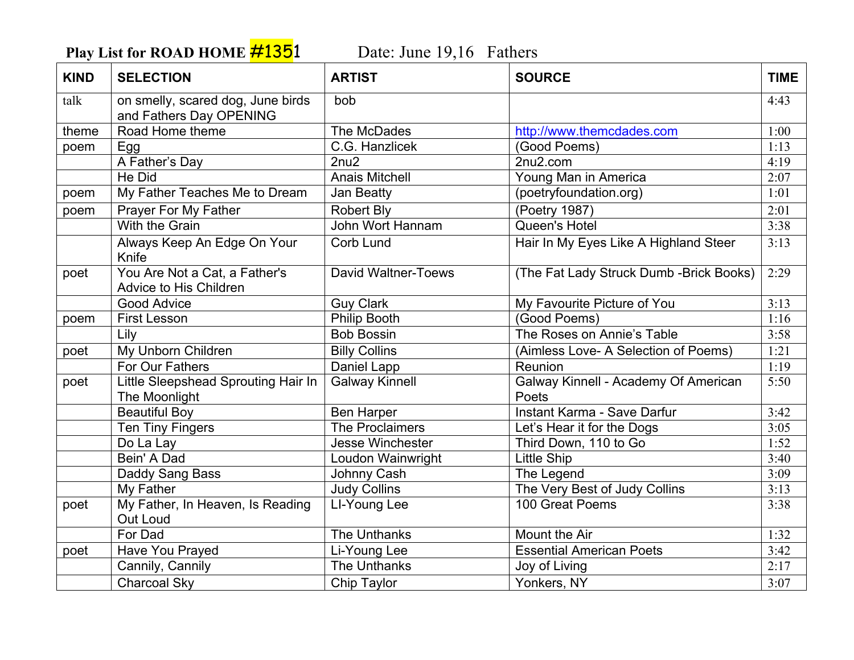**Play List for ROAD HOME #1351** Date: June 19,16 Fathers

| <b>KIND</b> | <b>SELECTION</b>                                             | <b>ARTIST</b>              | <b>SOURCE</b>                                 | <b>TIME</b> |
|-------------|--------------------------------------------------------------|----------------------------|-----------------------------------------------|-------------|
| talk        | on smelly, scared dog, June birds<br>and Fathers Day OPENING | bob                        |                                               | 4:43        |
| theme       | Road Home theme                                              | The McDades                | http://www.themcdades.com                     | 1:00        |
| poem        | Egg                                                          | C.G. Hanzlicek             | (Good Poems)                                  | 1:13        |
|             | A Father's Day                                               | 2nu2                       | 2nu2.com                                      | 4:19        |
|             | He Did                                                       | <b>Anais Mitchell</b>      | Young Man in America                          | 2:07        |
| poem        | My Father Teaches Me to Dream                                | Jan Beatty                 | (poetryfoundation.org)                        | 1:01        |
| poem        | Prayer For My Father                                         | <b>Robert Bly</b>          | (Poetry 1987)                                 | 2:01        |
|             | <b>With the Grain</b>                                        | John Wort Hannam           | Queen's Hotel                                 | 3:38        |
|             | Always Keep An Edge On Your<br>Knife                         | Corb Lund                  | Hair In My Eyes Like A Highland Steer         | 3:13        |
| poet        | You Are Not a Cat, a Father's<br>Advice to His Children      | <b>David Waltner-Toews</b> | (The Fat Lady Struck Dumb - Brick Books)      | 2:29        |
|             | Good Advice                                                  | <b>Guy Clark</b>           | My Favourite Picture of You                   | 3:13        |
| poem        | <b>First Lesson</b>                                          | <b>Philip Booth</b>        | (Good Poems)                                  | 1:16        |
|             | Lily                                                         | <b>Bob Bossin</b>          | The Roses on Annie's Table                    | 3:58        |
| poet        | My Unborn Children                                           | <b>Billy Collins</b>       | (Aimless Love- A Selection of Poems)          | 1:21        |
|             | For Our Fathers                                              | Daniel Lapp                | Reunion                                       | 1:19        |
| poet        | Little Sleepshead Sprouting Hair In<br>The Moonlight         | <b>Galway Kinnell</b>      | Galway Kinnell - Academy Of American<br>Poets | 5:50        |
|             | <b>Beautiful Boy</b>                                         | <b>Ben Harper</b>          | Instant Karma - Save Darfur                   | 3:42        |
|             | <b>Ten Tiny Fingers</b>                                      | The Proclaimers            | Let's Hear it for the Dogs                    | 3:05        |
|             | Do La Lay                                                    | <b>Jesse Winchester</b>    | Third Down, 110 to Go                         | 1:52        |
|             | Bein' A Dad                                                  | Loudon Wainwright          | <b>Little Ship</b>                            | 3:40        |
|             | Daddy Sang Bass                                              | Johnny Cash                | The Legend                                    | 3:09        |
|             | My Father                                                    | <b>Judy Collins</b>        | The Very Best of Judy Collins                 | 3:13        |
| poet        | My Father, In Heaven, Is Reading<br>Out Loud                 | LI-Young Lee               | 100 Great Poems                               | 3:38        |
|             | For Dad                                                      | <b>The Unthanks</b>        | Mount the Air                                 | 1:32        |
| poet        | Have You Prayed                                              | Li-Young Lee               | <b>Essential American Poets</b>               | 3:42        |
|             | Cannily, Cannily                                             | The Unthanks               | Joy of Living                                 | 2:17        |
|             | Charcoal Sky                                                 | Chip Taylor                | Yonkers, NY                                   | 3:07        |